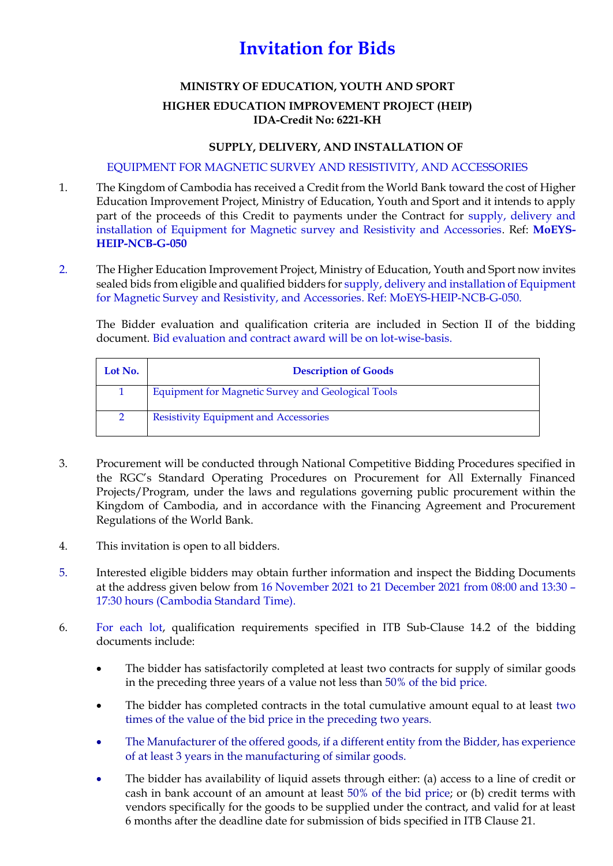## **Invitation for Bids**

## **MINISTRY OF EDUCATION, YOUTH AND SPORT**

## **HIGHER EDUCATION IMPROVEMENT PROJECT (HEIP) IDA-Credit No: 6221-KH**

## **SUPPLY, DELIVERY, AND INSTALLATION OF**

EQUIPMENT FOR MAGNETIC SURVEY AND RESISTIVITY, AND ACCESSORIES

- 1. The Kingdom of Cambodia has received a Credit from the World Bank toward the cost of Higher Education Improvement Project, Ministry of Education, Youth and Sport and it intends to apply part of the proceeds of this Credit to payments under the Contract for supply, delivery and installation of Equipment for Magnetic survey and Resistivity and Accessories. Ref: **MoEYS-HEIP-NCB-G-050**
- 2. The Higher Education Improvement Project, Ministry of Education, Youth and Sport now invites sealed bids from eligible and qualified bidders for supply, delivery and installation of Equipment for Magnetic Survey and Resistivity, and Accessories. Ref: MoEYS-HEIP-NCB-G-050.

The Bidder evaluation and qualification criteria are included in Section II of the bidding document. Bid evaluation and contract award will be on lot-wise-basis.

| Lot No. | <b>Description of Goods</b>                               |
|---------|-----------------------------------------------------------|
|         | <b>Equipment for Magnetic Survey and Geological Tools</b> |
|         | <b>Resistivity Equipment and Accessories</b>              |

- 3. Procurement will be conducted through National Competitive Bidding Procedures specified in the RGC's Standard Operating Procedures on Procurement for All Externally Financed Projects/Program, under the laws and regulations governing public procurement within the Kingdom of Cambodia, and in accordance with the Financing Agreement and Procurement Regulations of the World Bank.
- 4. This invitation is open to all bidders.
- 5. Interested eligible bidders may obtain further information and inspect the Bidding Documents at the address given below from 16 November 2021 to 21 December 2021 from 08:00 and 13:30 – 17:30 hours (Cambodia Standard Time).
- 6. For each lot, qualification requirements specified in ITB Sub-Clause 14.2 of the bidding documents include:
	- The bidder has satisfactorily completed at least two contracts for supply of similar goods in the preceding three years of a value not less than 50% of the bid price.
	- The bidder has completed contracts in the total cumulative amount equal to at least two times of the value of the bid price in the preceding two years.
	- The Manufacturer of the offered goods, if a different entity from the Bidder, has experience of at least 3 years in the manufacturing of similar goods.
	- The bidder has availability of liquid assets through either: (a) access to a line of credit or cash in bank account of an amount at least 50% of the bid price; or (b) credit terms with vendors specifically for the goods to be supplied under the contract, and valid for at least 6 months after the deadline date for submission of bids specified in ITB Clause 21.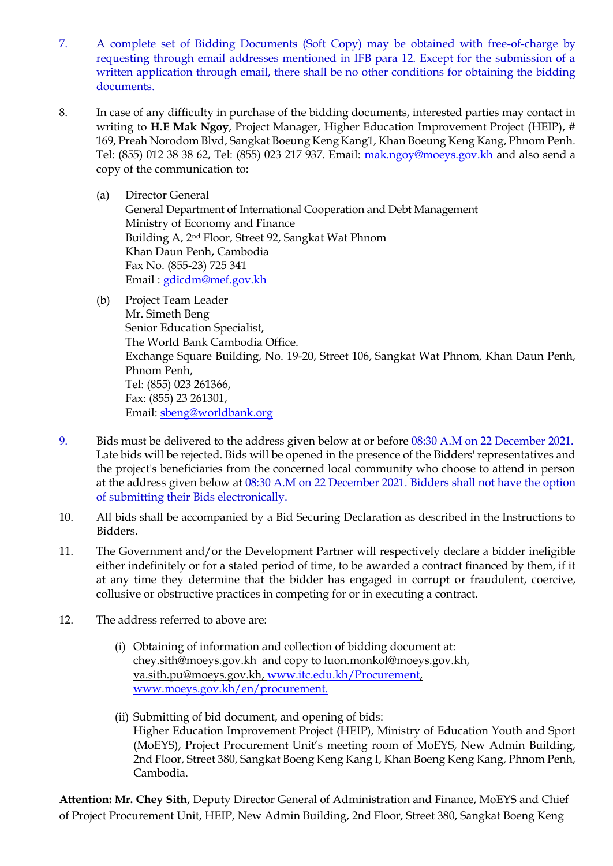- 7. A complete set of Bidding Documents (Soft Copy) may be obtained with free-of-charge by requesting through email addresses mentioned in IFB para 12. Except for the submission of a written application through email, there shall be no other conditions for obtaining the bidding documents.
- 8. In case of any difficulty in purchase of the bidding documents, interested parties may contact in writing to **H.E Mak Ngoy**, Project Manager, Higher Education Improvement Project (HEIP), # 169, Preah Norodom Blvd, Sangkat Boeung Keng Kang1, Khan Boeung Keng Kang, Phnom Penh. Tel: (855) 012 38 38 62, Tel: (855) 023 217 937. Email: [mak.ngoy@moeys.gov.kh](mailto:mak.ngoy@moeys.gov.kh) and also send a copy of the communication to:
	- (a) Director General General Department of International Cooperation and Debt Management Ministry of Economy and Finance Building A, 2nd Floor, Street 92, Sangkat Wat Phnom Khan Daun Penh, Cambodia Fax No. (855-23) 725 341 Email : [gdicdm@mef.gov.kh](mailto:gdicdm@mef.gov.kh)
	- (b) Project Team Leader Mr. Simeth Beng Senior Education Specialist, The World Bank Cambodia Office. Exchange Square Building, No. 19-20, Street 106, Sangkat Wat Phnom, Khan Daun Penh, Phnom Penh, Tel: (855) 023 261366, Fax: (855) 23 261301, Email: [sbeng@worldbank.org](mailto:sbeng@worldbank.org)
- 9. Bids must be delivered to the address given below at or before 08:30 A.M on 22 December 2021. Late bids will be rejected. Bids will be opened in the presence of the Bidders' representatives and the project's beneficiaries from the concerned local community who choose to attend in person at the address given below at 08:30 A.M on 22 December 2021. Bidders shall not have the option of submitting their Bids electronically.
- 10. All bids shall be accompanied by a Bid Securing Declaration as described in the Instructions to Bidders.
- 11. The Government and/or the Development Partner will respectively declare a bidder ineligible either indefinitely or for a stated period of time, to be awarded a contract financed by them, if it at any time they determine that the bidder has engaged in corrupt or fraudulent, coercive, collusive or obstructive practices in competing for or in executing a contract.
- 12. The address referred to above are:
	- (i) Obtaining of information and collection of bidding document at: [chey.sith@moeys.gov.kh](mailto:chey.sith@moeys.gov.kh) and copy to luon.monkol@moeys.gov.kh, [va.sith.pu@moeys.gov.kh,](mailto:va.sith.pu@moeys.gov.kh) [www.itc.edu.kh/Procurement,](http://www.itc.edu.kh/Procurement) [www.moeys.gov.kh/en/procurement.](http://www.moeys.gov.kh/en/procurement)
	- (ii) Submitting of bid document, and opening of bids: Higher Education Improvement Project (HEIP), Ministry of Education Youth and Sport (MoEYS), Project Procurement Unit's meeting room of MoEYS, New Admin Building, 2nd Floor, Street 380, Sangkat Boeng Keng Kang I, Khan Boeng Keng Kang, Phnom Penh, Cambodia.

**Attention: Mr. Chey Sith**, Deputy Director General of Administration and Finance, MoEYS and Chief of Project Procurement Unit, HEIP, New Admin Building, 2nd Floor, Street 380, Sangkat Boeng Keng